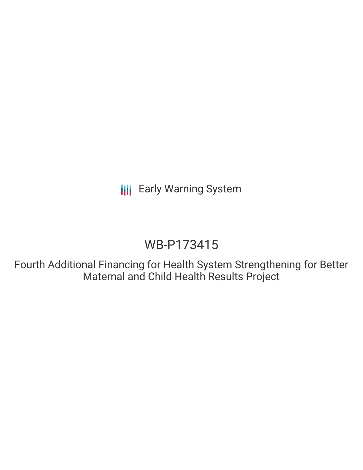# WB-P173415

Fourth Additional Financing for Health System Strengthening for Better Maternal and Child Health Results Project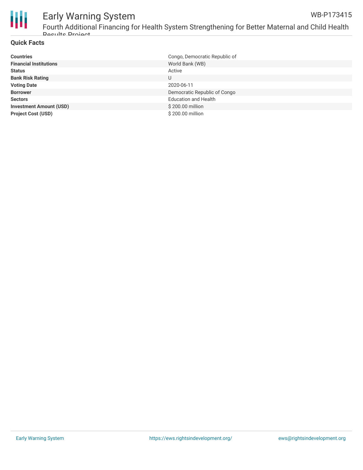

#### Early Warning System Fourth Additional Financing for Health System Strengthening for Better Maternal and Child Health WB-P173415

#### **Quick Facts**

Doculte Drojact

| <b>Countries</b>               | Congo, Democratic Republic of |
|--------------------------------|-------------------------------|
| <b>Financial Institutions</b>  | World Bank (WB)               |
| <b>Status</b>                  | Active                        |
| <b>Bank Risk Rating</b>        | U                             |
| <b>Voting Date</b>             | 2020-06-11                    |
| <b>Borrower</b>                | Democratic Republic of Congo  |
| <b>Sectors</b>                 | <b>Education and Health</b>   |
| <b>Investment Amount (USD)</b> | \$200.00 million              |
| <b>Project Cost (USD)</b>      | \$200.00 million              |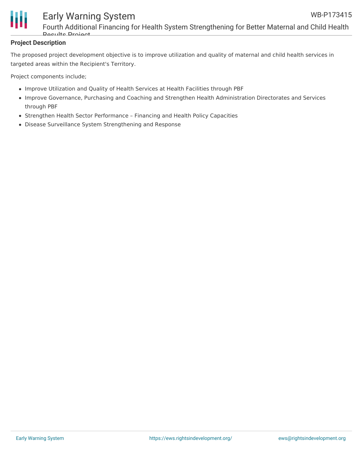



Fourth Additional Financing for Health System Strengthening for Better Maternal and Child Health **Doculte Project** 

#### **Project Description**

The proposed project development objective is to improve utilization and quality of maternal and child health services in targeted areas within the Recipient's Territory.

Project components include;

- Improve Utilization and Quality of Health Services at Health Facilities through PBF
- Improve Governance, Purchasing and Coaching and Strengthen Health Administration Directorates and Services through PBF
- Strengthen Health Sector Performance Financing and Health Policy Capacities
- Disease Surveillance System Strengthening and Response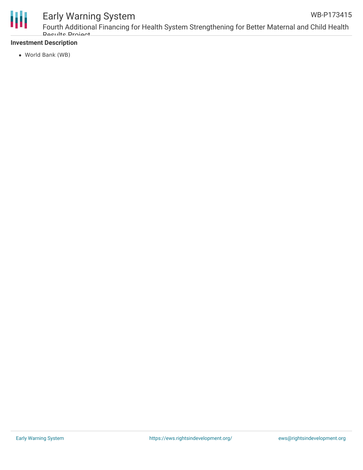

#### **Investment Description**

World Bank (WB)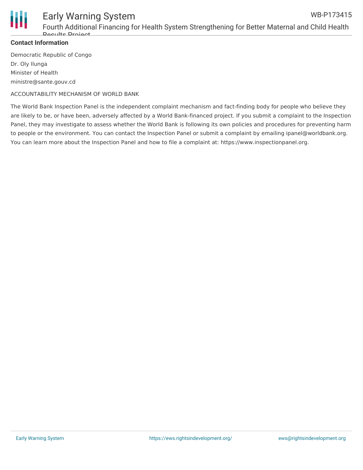

Fourth Additional Financing for Health System Strengthening for Better Maternal and Child Health **Doculto Project** 

#### **Contact Information**

Democratic Republic of Congo Dr. Oly Ilunga Minister of Health ministre@sante.gouv.cd

ACCOUNTABILITY MECHANISM OF WORLD BANK

The World Bank Inspection Panel is the independent complaint mechanism and fact-finding body for people who believe they are likely to be, or have been, adversely affected by a World Bank-financed project. If you submit a complaint to the Inspection Panel, they may investigate to assess whether the World Bank is following its own policies and procedures for preventing harm to people or the environment. You can contact the Inspection Panel or submit a complaint by emailing ipanel@worldbank.org. You can learn more about the Inspection Panel and how to file a complaint at: https://www.inspectionpanel.org.